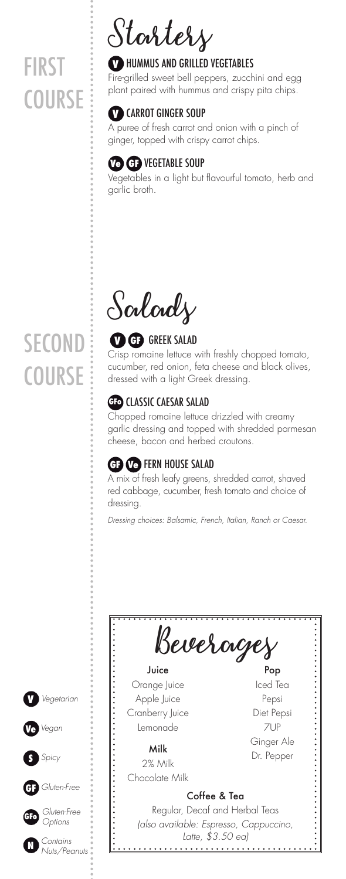# FIRST **COURSE**



### **V** HUMMUS AND GRILLED VEGETABLES

Fire-grilled sweet bell peppers, zucchini and egg plant paired with hummus and crispy pita chips.

# **V** CARROT GINGER SOUP

A puree of fresh carrot and onion with a pinch of ginger, topped with crispy carrot chips.

# **Ve GF** VEGETABLE SOUP

Vegetables in a light but flavourful tomato, herb and garlic broth.

**Salads**

# **V GF** GREEK SALAD

Crisp romaine lettuce with freshly chopped tomato, cucumber, red onion, feta cheese and black olives, dressed with a light Greek dressing.

# **GFo** CLASSIC CAESAR SALAD

Chopped romaine lettuce drizzled with creamy garlic dressing and topped with shredded parmesan cheese, bacon and herbed croutons.

## **GF Ve** FERN HOUSE SALAD

A mix of fresh leafy greens, shredded carrot, shaved red cabbage, cucumber, fresh tomato and choice of dressing.

*Dressing choices: Balsamic, French, Italian, Ranch or Caesar.*



# **SECOND COURSE**

**V**

**GF**

**S**

**GFo**

**N**

**Ve** *Vegan*

*Spicy*

*Gluten-Free*

*Gluten-Free Options*

*Contains Nuts/Peanuts*

*Vegetarian*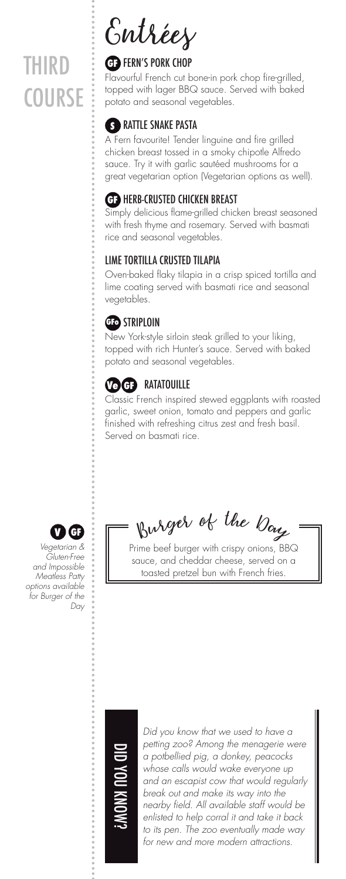# THIRD **COURSE**

**Entrées**

#### **GF** FERN'S PORK CHOP

Flavourful French cut bone-in pork chop fire-grilled, topped with lager BBQ sauce. Served with baked potato and seasonal vegetables.

### **S** RATTLE SNAKE PASTA

A Fern favourite! Tender linguine and fire grilled chicken breast tossed in a smoky chipotle Alfredo sauce. Try it with garlic sautéed mushrooms for a great vegetarian option (Vegetarian options as well).

#### **GF** HERB-CRUSTED CHICKEN BREAST

Simply delicious flame-grilled chicken breast seasoned with fresh thyme and rosemary. Served with basmati rice and seasonal vegetables.

#### LIME TORTILLA CRUSTED TILAPIA

Oven-baked flaky tilapia in a crisp spiced tortilla and lime coating served with basmati rice and seasonal vegetables.

## **GFo** STRIPLOIN

New York-style sirloin steak grilled to your liking, topped with rich Hunter's sauce. Served with baked potato and seasonal vegetables.

# **Ve** RATATOUILLE **GF**

Classic French inspired stewed eggplants with roasted garlic, sweet onion, tomato and peppers and garlic finished with refreshing citrus zest and fresh basil. Served on basmati rice.

*Vegetarian & Gluten-Free and Impossible Meatless Patty options available for Burger of the Day*

 $\bullet$  **G**  $\bullet$  **Burger** of the  $\omega$ 

Prime beef burger with crispy onions, BBQ sauce, and cheddar cheese, served on a toasted pretzel bun with French fries.



. . . . . . . . . . . . . . . . . .

*Did you know that we used to have a petting zoo? Among the menagerie were a potbellied pig, a donkey, peacocks whose calls would wake everyone up and an escapist cow that would regularly break out and make its way into the nearby field. All available staff would be enlisted to help corral it and take it back to its pen. The zoo eventually made way for new and more modern attractions.*